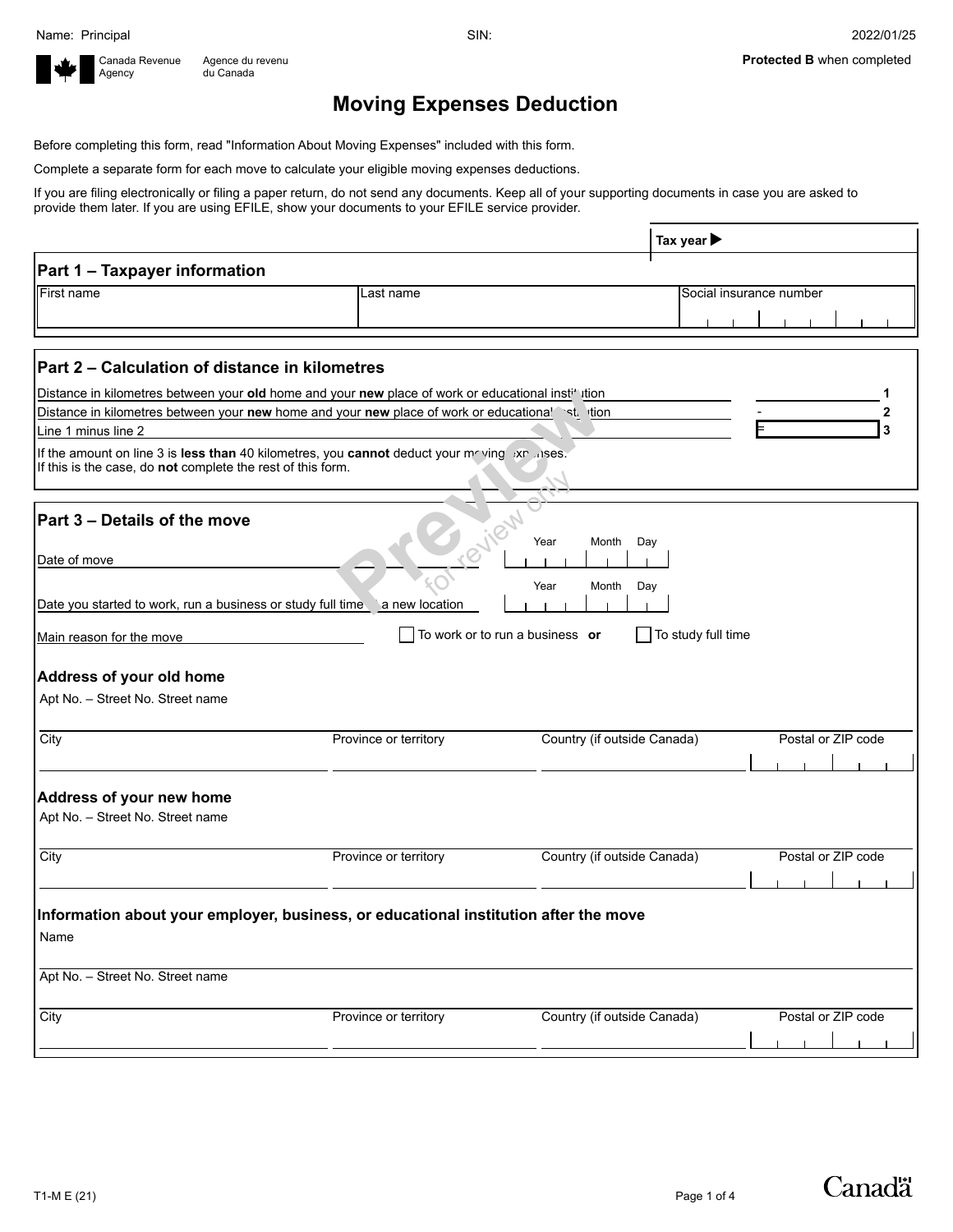

## **Moving Expenses Deduction**

Before completing this form, read "Information About Moving Expenses" included with this form.

Complete a separate form for each move to calculate your eligible moving expenses deductions.

If you are filing electronically or filing a paper return, do not send any documents. Keep all of your supporting documents in case you are asked to provide them later. If you are using EFILE, show your documents to your EFILE service provider.

|                                                                                                                                                              |                       | Tax year $\blacktriangleright$                        |                         |
|--------------------------------------------------------------------------------------------------------------------------------------------------------------|-----------------------|-------------------------------------------------------|-------------------------|
| Part 1 - Taxpayer information                                                                                                                                |                       |                                                       |                         |
| First name                                                                                                                                                   | Last name             |                                                       | Social insurance number |
|                                                                                                                                                              |                       |                                                       |                         |
|                                                                                                                                                              |                       |                                                       |                         |
| Part 2 - Calculation of distance in kilometres                                                                                                               |                       |                                                       |                         |
| Distance in kilometres between your old home and your new place of work or educational institution                                                           |                       |                                                       |                         |
| Distance in kilometres between your new home and your new place of work or educationa! `st. ition                                                            |                       |                                                       | 2                       |
| Line 1 minus line 2                                                                                                                                          |                       |                                                       | 3                       |
| If the amount on line 3 is less than 40 kilometres, you cannot deduct your meeting ixp. ises.<br>If this is the case, do not complete the rest of this form. |                       |                                                       |                         |
| Part 3 - Details of the move                                                                                                                                 |                       | Year<br>Month<br>Day                                  |                         |
| Date of move                                                                                                                                                 |                       |                                                       |                         |
|                                                                                                                                                              |                       |                                                       |                         |
| Date you started to work, run a business or study full time a new location                                                                                   |                       | Year<br>Month<br>Day                                  |                         |
|                                                                                                                                                              |                       |                                                       |                         |
| Main reason for the move                                                                                                                                     |                       | To work or to run a business or<br>To study full time |                         |
|                                                                                                                                                              |                       |                                                       |                         |
| Address of your old home                                                                                                                                     |                       |                                                       |                         |
| Apt No. - Street No. Street name                                                                                                                             |                       |                                                       |                         |
|                                                                                                                                                              |                       |                                                       |                         |
| City                                                                                                                                                         | Province or territory | Country (if outside Canada)                           | Postal or ZIP code      |
|                                                                                                                                                              |                       |                                                       |                         |
|                                                                                                                                                              |                       |                                                       |                         |
| Address of your new home                                                                                                                                     |                       |                                                       |                         |
| Apt No. - Street No. Street name                                                                                                                             |                       |                                                       |                         |
|                                                                                                                                                              |                       |                                                       |                         |
| City                                                                                                                                                         |                       |                                                       |                         |
|                                                                                                                                                              | Province or territory | Country (if outside Canada)                           | Postal or ZIP code      |
|                                                                                                                                                              |                       |                                                       |                         |
|                                                                                                                                                              |                       |                                                       |                         |
| Information about your employer, business, or educational institution after the move                                                                         |                       |                                                       |                         |
| Name                                                                                                                                                         |                       |                                                       |                         |
|                                                                                                                                                              |                       |                                                       |                         |
| Apt No. - Street No. Street name                                                                                                                             |                       |                                                       |                         |
|                                                                                                                                                              |                       |                                                       |                         |
| City                                                                                                                                                         | Province or territory | Country (if outside Canada)                           | Postal or ZIP code      |